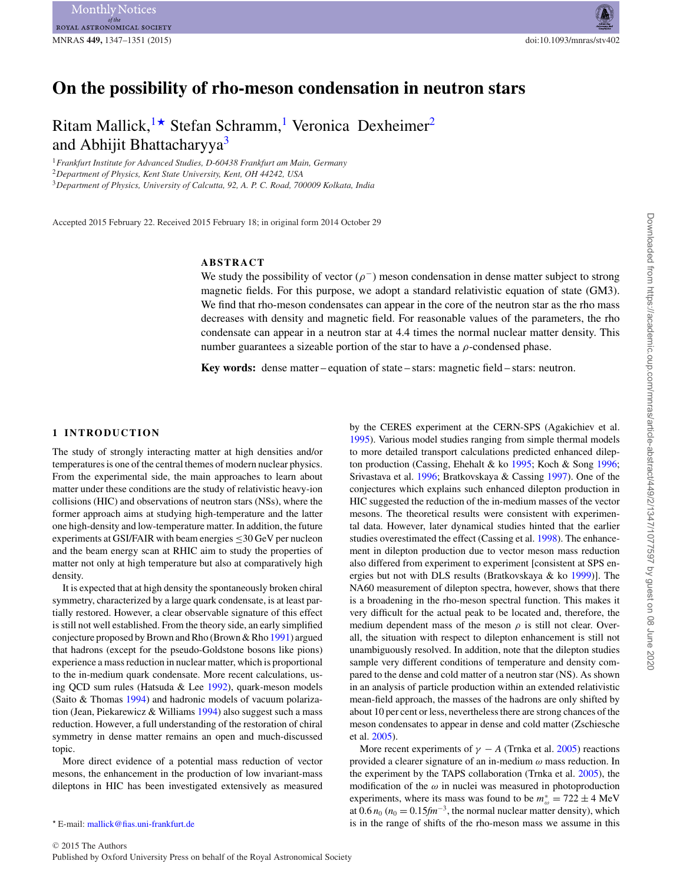# **On the possibility of rho-meson condensation in neutron stars**

Ritam Mallick,  $\star$  Stefan Schramm,<sup>[1](#page-0-0)</sup> Veronica Dexheimer<sup>2</sup> and Abhijit Bhattacharyya<sup>[3](#page-0-3)</sup>

<span id="page-0-0"></span><sup>1</sup>*Frankfurt Institute for Advanced Studies, D-60438 Frankfurt am Main, Germany*

<span id="page-0-2"></span><sup>2</sup>*Department of Physics, Kent State University, Kent, OH 44242, USA*

<span id="page-0-3"></span><sup>3</sup>*Department of Physics, University of Calcutta, 92, A. P. C. Road, 700009 Kolkata, India*

Accepted 2015 February 22. Received 2015 February 18; in original form 2014 October 29

## **ABSTRACT**

We study the possibility of vector ( $\rho^-$ ) meson condensation in dense matter subject to strong magnetic fields. For this purpose, we adopt a standard relativistic equation of state (GM3). We find that rho-meson condensates can appear in the core of the neutron star as the rho mass decreases with density and magnetic field. For reasonable values of the parameters, the rho condensate can appear in a neutron star at 4.4 times the normal nuclear matter density. This number guarantees a sizeable portion of the star to have a  $\rho$ -condensed phase.

**Key words:** dense matter – equation of state – stars: magnetic field – stars: neutron.

#### **1 INTRODUCTION**

The study of strongly interacting matter at high densities and/or temperatures is one of the central themes of modern nuclear physics. From the experimental side, the main approaches to learn about matter under these conditions are the study of relativistic heavy-ion collisions (HIC) and observations of neutron stars (NSs), where the former approach aims at studying high-temperature and the latter one high-density and low-temperature matter. In addition, the future experiments at GSI/FAIR with beam energies  $\leq$ 30 GeV per nucleon and the beam energy scan at RHIC aim to study the properties of matter not only at high temperature but also at comparatively high density.

It is expected that at high density the spontaneously broken chiral symmetry, characterized by a large quark condensate, is at least partially restored. However, a clear observable signature of this effect is still not well established. From the theory side, an early simplified conjecture proposed by Brown and Rho (Brown & Rho [1991\)](#page-4-0) argued that hadrons (except for the pseudo-Goldstone bosons like pions) experience a mass reduction in nuclear matter, which is proportional to the in-medium quark condensate. More recent calculations, using QCD sum rules (Hatsuda & Lee [1992\)](#page-4-1), quark-meson models (Saito & Thomas [1994\)](#page-4-2) and hadronic models of vacuum polarization (Jean, Piekarewicz & Williams [1994\)](#page-4-3) also suggest such a mass reduction. However, a full understanding of the restoration of chiral symmetry in dense matter remains an open and much-discussed topic.

More direct evidence of a potential mass reduction of vector mesons, the enhancement in the production of low invariant-mass dileptons in HIC has been investigated extensively as measured

<span id="page-0-1"></span>E-mail: [mallick@fias.uni-frankfurt.de](mailto:mallick@fias.uni-frankfurt.de)

by the CERES experiment at the CERN-SPS (Agakichiev et al. [1995\)](#page-4-4). Various model studies ranging from simple thermal models to more detailed transport calculations predicted enhanced dilepton production (Cassing, Ehehalt & ko [1995;](#page-4-5) Koch & Song [1996;](#page-4-6) Srivastava et al. [1996;](#page-4-7) Bratkovskaya & Cassing [1997\)](#page-4-8). One of the conjectures which explains such enhanced dilepton production in HIC suggested the reduction of the in-medium masses of the vector mesons. The theoretical results were consistent with experimental data. However, later dynamical studies hinted that the earlier studies overestimated the effect (Cassing et al. [1998\)](#page-4-9). The enhancement in dilepton production due to vector meson mass reduction also differed from experiment to experiment [consistent at SPS energies but not with DLS results (Bratkovskaya & ko [1999\)](#page-4-10)]. The NA60 measurement of dilepton spectra, however, shows that there is a broadening in the rho-meson spectral function. This makes it very difficult for the actual peak to be located and, therefore, the medium dependent mass of the meson  $\rho$  is still not clear. Overall, the situation with respect to dilepton enhancement is still not unambiguously resolved. In addition, note that the dilepton studies sample very different conditions of temperature and density compared to the dense and cold matter of a neutron star (NS). As shown in an analysis of particle production within an extended relativistic mean-field approach, the masses of the hadrons are only shifted by about 10 per cent or less, nevertheless there are strong chances of the meson condensates to appear in dense and cold matter (Zschiesche et al. [2005\)](#page-4-11).

More recent experiments of  $\gamma - A$  (Trnka et al. [2005\)](#page-4-12) reactions provided a clearer signature of an in-medium  $\omega$  mass reduction. In the experiment by the TAPS collaboration (Trnka et al. [2005\)](#page-4-12), the modification of the  $\omega$  in nuclei was measured in photoproduction experiments, where its mass was found to be  $m_{\omega}^* = 722 \pm 4$  MeV<br>at 0.6  $n_s$  ( $n_s = 0.15$  fm<sup>-3</sup> the normal nuclear matter density), which at  $0.6 n_0 (n_0 = 0.15 \text{fm}^{-3}$ , the normal nuclear matter density), which is in the range of shifts of the rho-meson mass we assume in this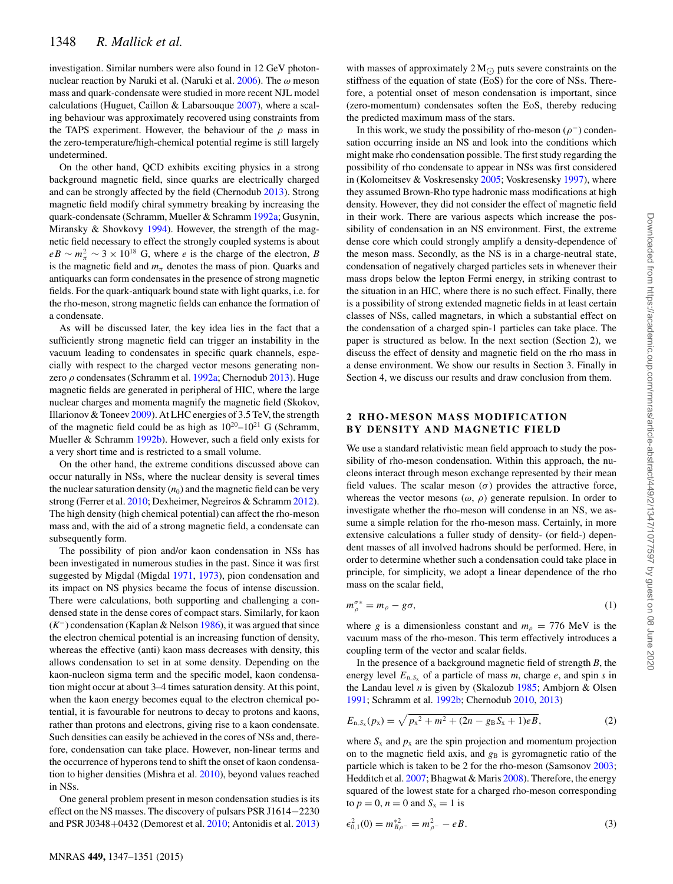investigation. Similar numbers were also found in 12 GeV photonnuclear reaction by Naruki et al. (Naruki et al.  $2006$ ). The  $\omega$  meson mass and quark-condensate were studied in more recent NJL model calculations (Huguet, Caillon & Labarsouque [2007\)](#page-4-14), where a scaling behaviour was approximately recovered using constraints from the TAPS experiment. However, the behaviour of the  $\rho$  mass in the zero-temperature/high-chemical potential regime is still largely undetermined.

On the other hand, QCD exhibits exciting physics in a strong background magnetic field, since quarks are electrically charged and can be strongly affected by the field (Chernodub [2013\)](#page-4-15). Strong magnetic field modify chiral symmetry breaking by increasing the quark-condensate (Schramm, Mueller & Schramm [1992a;](#page-4-16) Gusynin, Miransky & Shovkovy [1994\)](#page-4-17). However, the strength of the magnetic field necessary to effect the strongly coupled systems is about  $eB \sim m_{\pi}^2 \sim 3 \times 10^{18}$  G, where *e* is the charge of the electron, *B* is the magnetic field and *m*, denotes the mags of pion. Quarks and is the magnetic field and  $m_\pi$  denotes the mass of pion. Quarks and antiquarks can form condensates in the presence of strong magnetic fields. For the quark-antiquark bound state with light quarks, i.e. for the rho-meson, strong magnetic fields can enhance the formation of a condensate.

As will be discussed later, the key idea lies in the fact that a sufficiently strong magnetic field can trigger an instability in the vacuum leading to condensates in specific quark channels, especially with respect to the charged vector mesons generating nonzero  $\rho$  condensates (Schramm et al. [1992a;](#page-4-16) Chernodub [2013\)](#page-4-15). Huge magnetic fields are generated in peripheral of HIC, where the large nuclear charges and momenta magnify the magnetic field (Skokov, Illarionov & Toneev [2009\)](#page-4-18). At LHC energies of 3.5 TeV, the strength of the magnetic field could be as high as  $10^{20} - 10^{21}$  G (Schramm, Mueller & Schramm [1992b\)](#page-4-19). However, such a field only exists for a very short time and is restricted to a small volume.

On the other hand, the extreme conditions discussed above can occur naturally in NSs, where the nuclear density is several times the nuclear saturation density  $(n_0)$  and the magnetic field can be very strong (Ferrer et al. [2010;](#page-4-20) Dexheimer, Negreiros & Schramm [2012\)](#page-4-21). The high density (high chemical potential) can affect the rho-meson mass and, with the aid of a strong magnetic field, a condensate can subsequently form.

The possibility of pion and/or kaon condensation in NSs has been investigated in numerous studies in the past. Since it was first suggested by Migdal (Migdal [1971,](#page-4-22) [1973\)](#page-4-23), pion condensation and its impact on NS physics became the focus of intense discussion. There were calculations, both supporting and challenging a condensed state in the dense cores of compact stars. Similarly, for kaon (*K*−) condensation (Kaplan & Nelson [1986\)](#page-4-24), it was argued that since the electron chemical potential is an increasing function of density, whereas the effective (anti) kaon mass decreases with density, this allows condensation to set in at some density. Depending on the kaon-nucleon sigma term and the specific model, kaon condensation might occur at about 3–4 times saturation density. At this point, when the kaon energy becomes equal to the electron chemical potential, it is favourable for neutrons to decay to protons and kaons, rather than protons and electrons, giving rise to a kaon condensate. Such densities can easily be achieved in the cores of NSs and, therefore, condensation can take place. However, non-linear terms and the occurrence of hyperons tend to shift the onset of kaon condensation to higher densities (Mishra et al. [2010\)](#page-4-25), beyond values reached in NSs.

One general problem present in meson condensation studies is its effect on the NS masses. The discovery of pulsars PSR J1614−2230 and PSR J0348+0432 (Demorest et al. [2010;](#page-4-26) Antonidis et al. [2013\)](#page-4-27)

with masses of approximately  $2 M_{\odot}$  puts severe constraints on the stiffness of the equation of state (EoS) for the core of NSs. Therefore, a potential onset of meson condensation is important, since (zero-momentum) condensates soften the EoS, thereby reducing the predicted maximum mass of the stars.

In this work, we study the possibility of rho-meson ( $\rho^-$ ) condensation occurring inside an NS and look into the conditions which might make rho condensation possible. The first study regarding the possibility of rho condensate to appear in NSs was first considered in (Kolomeitsev & Voskresensky [2005;](#page-4-28) Voskresensky [1997\)](#page-4-29), where they assumed Brown-Rho type hadronic mass modifications at high density. However, they did not consider the effect of magnetic field in their work. There are various aspects which increase the possibility of condensation in an NS environment. First, the extreme dense core which could strongly amplify a density-dependence of the meson mass. Secondly, as the NS is in a charge-neutral state, condensation of negatively charged particles sets in whenever their mass drops below the lepton Fermi energy, in striking contrast to the situation in an HIC, where there is no such effect. Finally, there is a possibility of strong extended magnetic fields in at least certain classes of NSs, called magnetars, in which a substantial effect on the condensation of a charged spin-1 particles can take place. The paper is structured as below. In the next section (Section 2), we discuss the effect of density and magnetic field on the rho mass in a dense environment. We show our results in Section 3. Finally in Section 4, we discuss our results and draw conclusion from them.

### **2 RHO -MESON MASS MODIFICATION BY DENSITY AND MAGNETIC FIELD**

We use a standar[d](#page-2-0) relativistic mean field approach to study the possibility of rho-meson condensation. Within this approach, the nucleons interact through meson exchange represented by their mean field values. The scalar meson  $(\sigma)$  provides the attractive force, whereas the vector mesons  $(\omega, \rho)$  generate repulsion. In order to investigate whether the rho-meson will condense in an NS, we assume a simple relation for the rho-meson mass. Certainly, in more extensive calculations a fuller study of density- (or field-) dependent masses of all involved hadrons should be performed. Here, in order to determine whether such a condensation could take place in principle, for simplicity, we adopt a linear dependence of the rho mass on the scalar field,

$$
m_{\rho}^{\sigma*} = m_{\rho} - g\sigma,\tag{1}
$$

where *g* is a dimensionless constant and  $m<sub>o</sub> = 776$  MeV is the vacuum mass of the rho-meson. This term effectively introduces a coupling term of the vector and scalar fields.

In the presence of a background magnetic field of strength *B*, the energy level  $E_{n, S_x}$  of a particle of mass *m*, charge *e*, and spin *s* in the Landau level *n* is given by (Skalozub [1985;](#page-4-30) Ambjorn & Olsen [1991;](#page-4-31) Schramm et al. [1992b;](#page-4-19) Chernodub [2010,](#page-4-32) [2013\)](#page-4-15)

$$
E_{n,S_x}(p_x) = \sqrt{p_x^2 + m^2 + (2n - g_B S_x + 1)eB},
$$
\n(2)

where  $S_x$  and  $p_x$  are the spin projection and momentum projection on to the magnetic field axis, and  $g_B$  is gyromagnetic ratio of the particle which is taken to be 2 for the rho-meson (Samsonov [2003;](#page-4-33) Hedditch et al. [2007;](#page-4-34) Bhagwat & Maris [2008\)](#page-4-35). Therefore, the energy squared of the lowest state for a charged rho-meson corresponding to  $p = 0$ ,  $n = 0$  and  $S_x = 1$  is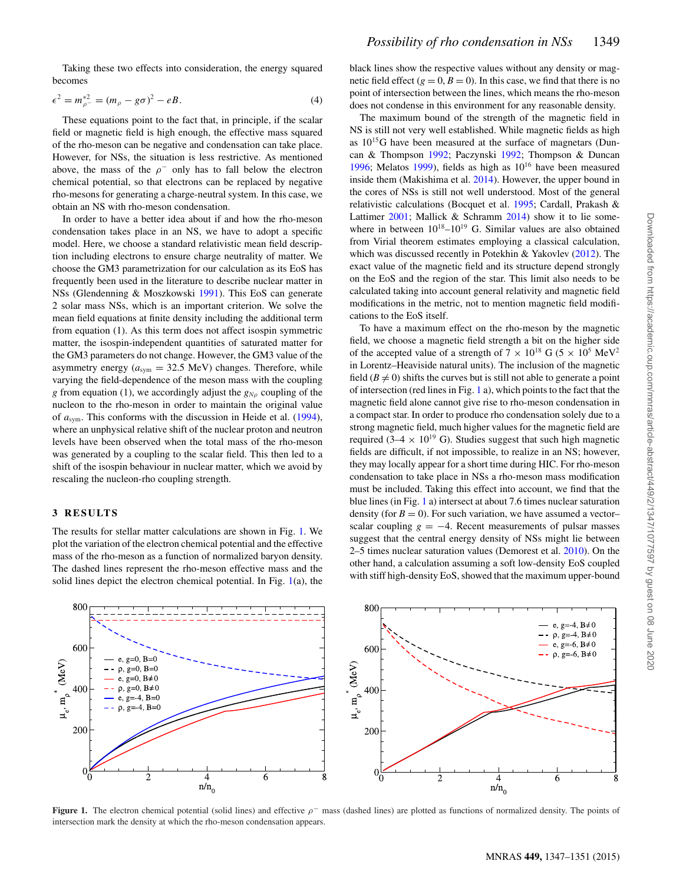Taking these two effects into consideration, the energy squared becomes

$$
\epsilon^2 = m_{\rho^-}^{*2} = (m_\rho - g\sigma)^2 - eB. \tag{4}
$$

These equations point to the fact that, in principle, if the scalar field or magnetic field is high enough, the effective mass squared of the rho-meson can be negative and condensation can take place. However, for NSs, the situation is less restrictive. As mentioned above, the mass of the  $\rho^-$  only has to fall below the electron chemical potential, so that electrons can be replaced by negative rho-mesons for generating a charge-neutral system. In this case, we obtain an NS with rho-meson condensation.

In order to have a better idea about if and how the rho-meson condensation takes place in an NS, we have to adopt a specific model. Here, we choose a standard relativistic mean field description including electrons to ensure charge neutrality of matter. We choose the GM3 parametrization for our calculation as its EoS has frequently been used in the literature to describe nuclear matter in NSs (Glendenning & Moszkowski [1991\)](#page-4-36). This EoS can generate 2 solar mass NSs, which is an important criterion. We solve the mean field equations at finite density including the additional term from equation (1). As this term does not affect isospin symmetric matter, the isospin-independent quantities of saturated matter for the GM3 parameters do not change. However, the GM3 value of the asymmetry energy  $(a_{sym} = 32.5 \text{ MeV})$  changes. Therefore, while varying the field-dependence of the meson mass with the coupling *g* from equation (1), we accordingly adjust the  $g_{N\rho}$  coupling of the nucleon to the rho-meson in order to maintain the original value of *a*sym. This conforms with the discussion in Heide et al. [\(1994\)](#page-4-37), where an unphysical relative shift of the nuclear proton and neutron levels have been observed when the total mass of the rho-meson was generated by a coupling to the scalar field. This then led to a shift of the isospin behaviour in nuclear matter, which we avoid by rescaling the nucleon-rho coupling strength.

### **3 RESULTS**

The results for stellar matter calculations are shown in Fig. [1.](#page-2-0) We plot the variation of the electron chemical potential and the effective mass of the rho-meson as a function of normalized baryon density. The dashed lines represent the rho-meson effective mass and the solid lines depict the electron chemical potential. In Fig. [1\(](#page-2-0)a), the black lines show the respective values without any density or magnetic field effect  $(g = 0, B = 0)$ . In this case, we find that there is no point of intersection between the lines, which means the rho-meson does not condense in this environment for any reasonable density.

The maximum bound of the strength of the magnetic field in NS is still not very well established. While magnetic fields as high as  $10^{15}$ G have been measured at the surface of magnetars (Duncan & Thompson [1992;](#page-4-38) Paczynski [1992;](#page-4-39) Thompson & Duncan [1996;](#page-4-40) Melatos [1999\)](#page-4-41), fields as high as  $10^{16}$  have been measured inside them (Makishima et al. [2014\)](#page-4-42). However, the upper bound in the cores of NSs is still not well understood. Most of the general relativistic calculations (Bocquet et al. [1995;](#page-4-43) Cardall, Prakash & Lattimer [2001;](#page-4-44) Mallick & Schramm [2014\)](#page-4-45) show it to lie somewhere in between  $10^{18}-10^{19}$  G. Similar values are also obtained from Virial theorem estimates employing a classical calculation, which was discussed recently in Potekhin & Yakovlev [\(2012\)](#page-4-46). The exact value of the magnetic field and its structure depend strongly on the EoS and the region of the star. This limit also needs to be calculated taking into account general relativity and magnetic field modifications in the metric, not to mention magnetic field modifications to the EoS itself.

To have a maximum effect on the rho-meson by the magnetic field, we choose a magnetic field strength a bit on the higher side of the accepted value of a strength of  $7 \times 10^{18}$  G ( $5 \times 10^5$  MeV<sup>2</sup> in Lorentz–Heaviside natural units). The inclusion of the magnetic field  $(B \neq 0)$  shifts the curves but is still not able to generate a point of intersection (red lines in Fig. [1](#page-2-0) a), which points to the fact that the magnetic field alone cannot give rise to rho-meson condensation in a compact star. In order to produce rho condensation solely due to a strong magnetic field, much higher values for the magnetic field are required (3–4  $\times$  10<sup>19</sup> G). Studies suggest that such high magnetic fields are difficult, if not impossible, to realize in an NS; however, they may locally appear for a short time during HIC. For rho-meson condensation to take place in NSs a rho-meson mass modification must be included. Taking this effect into account, we find that the blue lines (in Fig. [1](#page-2-0) a) intersect at about 7.6 times nuclear saturation density (for  $B = 0$ ). For such variation, we have assumed a vectorscalar coupling  $g = -4$ . Recent measurements of pulsar masses suggest that the central energy density of NSs might lie between 2–5 times nuclear saturation values (Demorest et al. [2010\)](#page-4-26). On the other hand, a calculation assuming a soft low-density EoS coupled with stiff high-density EoS, showed that the maximum upper-bound

<span id="page-2-0"></span>

**Figure 1.** The electron chemical potential (solid lines) and effective  $\rho$ <sup>-</sup> mass (dashed lines) are plotted as functions of normalized density. The points of intersection mark the density at which the rho-meson condensation appears.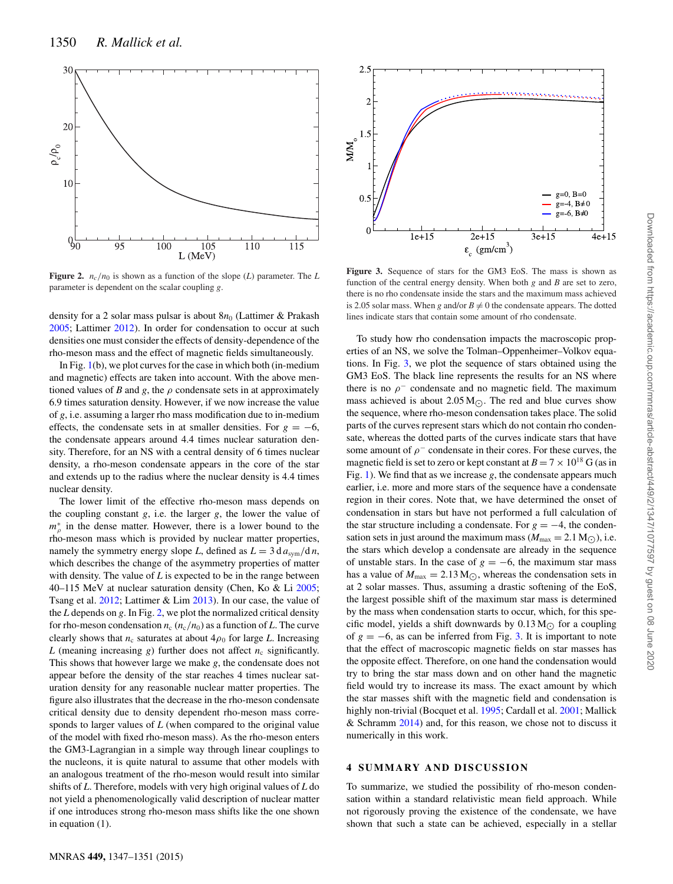<span id="page-3-0"></span>

**Figure 2.**  $n_c/n_0$  is shown as a function of the slope (*L*) parameter. The *L* parameter is dependent on the scalar coupling *g*.

density for a 2 solar mass pulsar is about 8*n*<sup>0</sup> (Lattimer & Prakash [2005;](#page-4-47) Lattimer [2012\)](#page-4-48). In order for condensation to occur at such densities one must consider the effects of density-dependence of the rho-meson mass and the effect of magnetic fields simultaneously.

In Fig. [1\(](#page-2-0)b), we plot curves for the case in which both (in-medium and magnetic) effects are taken into account. With the above mentioned values of *B* and *g*, the  $\rho$  condensate sets in at approximately 6.9 times saturation density. However, if we now increase the value of *g*, i.e. assuming a larger rho mass modification due to in-medium effects, the condensate sets in at smaller densities. For  $g = -6$ , the condensate appears around 4.4 times nuclear saturation density. Therefore, for an NS with a central density of 6 times nuclear density, a rho-meson condensate appears in the core of the star and extends up to the radius where the nuclear density is 4.4 times nuclear density.

The lower limit of the effective rho-meson mass depends on the coupling constant *g*, i.e. the larger *g*, the lower the value of  $m_{\rho}^{*}$  in the dense matter. However, there is a lower bound to the rho-meson mass which is provided by nuclear matter properties rho-meson mass which is provided by nuclear matter properties, namely the symmetry energy slope *L*, defined as  $L = 3 d a_{sym}/d n$ , which describes the change of the asymmetry properties of matter with density. The value of *L* is expected to be in the range between 40–115 MeV at nuclear saturation density (Chen, Ko & Li [2005;](#page-4-49) Tsang et al. [2012;](#page-4-50) Lattimer & Lim [2013\)](#page-4-51). In our case, the value of the *L* depends on *g*. In Fig. [2,](#page-3-0) we plot the normalized critical density for rho-meson condensation  $n_c$  ( $n_c/n_0$ ) as a function of *L*. The curve clearly shows that  $n_c$  saturates at about  $4\rho_0$  for large *L*. Increasing *L* (meaning increasing *g*) further does not affect  $n_c$  significantly. This shows that however large we make *g*, the condensate does not appear before the density of the star reaches 4 times nuclear saturation density for any reasonable nuclear matter properties. The figure also illustrates that the decrease in the rho-meson condensate critical density due to density dependent rho-meson mass corresponds to larger values of *L* (when compared to the original value of the model with fixed rho-meson mass). As the rho-meson enters the GM3-Lagrangian in a simple way through linear couplings to the nucleons, it is quite natural to assume that other models with an analogous treatment of the rho-meson would result into similar shifts of *L*. Therefore, models with very high original values of *L* do not yield a phenomenologically valid description of nuclear matter if one introduces strong rho-meson mass shifts like the one shown in equation (1).

<span id="page-3-1"></span>

**Figure 3.** Sequence of stars for the GM3 EoS. The mass is shown as function of the central energy density. When both *g* and *B* are set to zero, there is no rho condensate inside the stars and the maximum mass achieved is 2.05 solar mass. When *g* and/or  $B \neq 0$  the condensate appears. The dotted lines indicate stars that contain some amount of rho condensate.

To study how rho condensation impacts the macroscopic properties of an NS, we solve the Tolman–Oppenheimer–Volkov equations. In Fig. [3,](#page-3-1) we plot the sequence of stars obtained using the GM3 EoS. The black line represents the results for an NS where there is no  $\rho^-$  condensate and no magnetic field. The maximum mass achieved is about  $2.05 M_{\odot}$ . The red and blue curves show the sequence, where rho-meson condensation takes place. The solid parts of the curves represent stars which do not contain rho condensate, whereas the dotted parts of the curves indicate stars that have some amount of  $\rho^-$  condensate in their cores. For these curves, the magnetic field is set to zero or kept constant at  $B = 7 \times 10^{18}$  G (as in Fig. [1\)](#page-2-0). We find that as we increase *g*, the condensate appears much earlier, i.e. more and more stars of the sequence have a condensate region in their cores. Note that, we have determined the onset of condensation in stars but have not performed a full calculation of the star structure including a condensate. For  $g = -4$ , the condensation sets in just around the maximum mass ( $M_{\text{max}} = 2.1 \text{ M}_{\odot}$ ), i.e. the stars which develop a condensate are already in the sequence of unstable stars. In the case of  $g = -6$ , the maximum star mass has a value of  $M_{\text{max}} = 2.13 M_{\odot}$ , whereas the condensation sets in at 2 solar masses. Thus, assuming a drastic softening of the EoS, the largest possible shift of the maximum star mass is determined by the mass when condensation starts to occur, which, for this specific model, yields a shift downwards by  $0.13 M_{\odot}$  for a coupling of  $g = -6$ , as can be inferred from Fig. [3.](#page-3-1) It is important to note that the effect of macroscopic magnetic fields on star masses has the opposite effect. Therefore, on one hand the condensation would try to bring the star mass down and on other hand the magnetic field would try to increase its mass. The exact amount by which the star masses shift with the magnetic field and condensation is highly non-trivial (Bocquet et al. [1995;](#page-4-43) Cardall et al. [2001;](#page-4-44) Mallick & Schramm [2014\)](#page-4-45) and, for this reason, we chose not to discuss it numerically in this work.

#### **4 SUMMARY AND DISCUSSION**

To summarize, we studied the possibility of rho-meson condensation within a standard relativistic mean field approach. While not rigorously proving the existence of the condensate, we have shown that such a state can be achieved, especially in a stellar